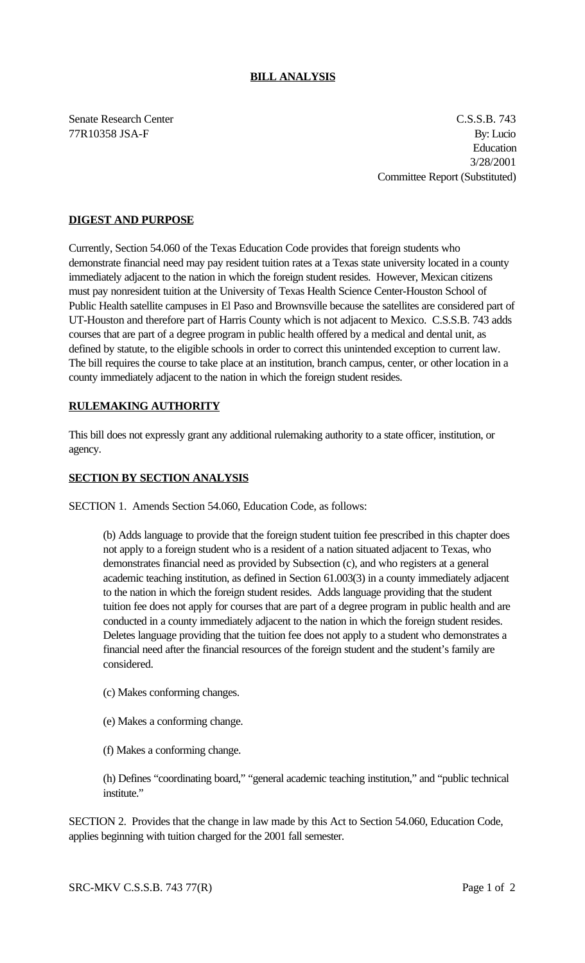### **BILL ANALYSIS**

Senate Research Center C.S.S.B. 743 77R10358 JSA-F By: Lucio Education 3/28/2001 Committee Report (Substituted)

### **DIGEST AND PURPOSE**

Currently, Section 54.060 of the Texas Education Code provides that foreign students who demonstrate financial need may pay resident tuition rates at a Texas state university located in a county immediately adjacent to the nation in which the foreign student resides. However, Mexican citizens must pay nonresident tuition at the University of Texas Health Science Center-Houston School of Public Health satellite campuses in El Paso and Brownsville because the satellites are considered part of UT-Houston and therefore part of Harris County which is not adjacent to Mexico. C.S.S.B. 743 adds courses that are part of a degree program in public health offered by a medical and dental unit, as defined by statute, to the eligible schools in order to correct this unintended exception to current law. The bill requires the course to take place at an institution, branch campus, center, or other location in a county immediately adjacent to the nation in which the foreign student resides.

# **RULEMAKING AUTHORITY**

This bill does not expressly grant any additional rulemaking authority to a state officer, institution, or agency.

### **SECTION BY SECTION ANALYSIS**

SECTION 1. Amends Section 54.060, Education Code, as follows:

(b) Adds language to provide that the foreign student tuition fee prescribed in this chapter does not apply to a foreign student who is a resident of a nation situated adjacent to Texas, who demonstrates financial need as provided by Subsection (c), and who registers at a general academic teaching institution, as defined in Section 61.003(3) in a county immediately adjacent to the nation in which the foreign student resides. Adds language providing that the student tuition fee does not apply for courses that are part of a degree program in public health and are conducted in a county immediately adjacent to the nation in which the foreign student resides. Deletes language providing that the tuition fee does not apply to a student who demonstrates a financial need after the financial resources of the foreign student and the student's family are considered.

- (c) Makes conforming changes.
- (e) Makes a conforming change.
- (f) Makes a conforming change.

(h) Defines "coordinating board," "general academic teaching institution," and "public technical institute."

SECTION 2. Provides that the change in law made by this Act to Section 54.060, Education Code, applies beginning with tuition charged for the 2001 fall semester.